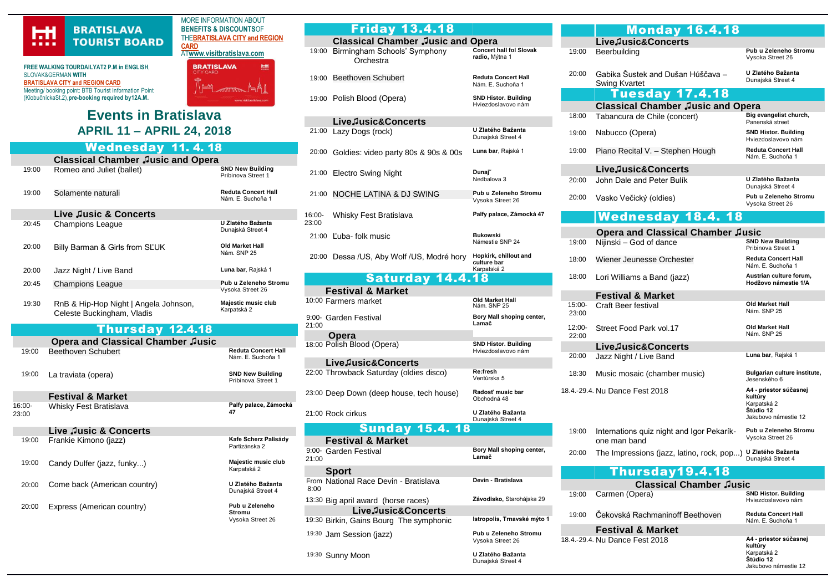

## **FREE WALKING TOURDAILYAT2 P.M**.**in ENGLISH**, SLOVAK&GERMAN **WITH [BRATISLAVA CITY and REGION CARD](https://www.visitbratislava.com/your-trip/stay-in-the-city/city-card-advantages/)** Meeting/ booking point: BTB Tourist Information Point (KlobučníckaSt.2),**pre-booking required by12A.M.**

**Events in Bratislava APRIL 11 – APRIL 24, 2018**

MORE INFORMATION ABOUT **BENEFITS & DISCOUNTS**OF THE**[BRATISLAVA CITY and REGION](https://www.visitbratislava.com/your-trip/stay-in-the-city/city-card-advantages/)  [CARD](https://www.visitbratislava.com/your-trip/stay-in-the-city/city-card-advantages/)** AT**[www.visitbratislava.com](http://www.visitbratislava.com/)**

**BRATISLAVA** 

册

## Wednesday 11. 4. 18

|                 | <b>Classical Chamber Jusic and Opera</b>                            |                                                 |  |  |  |  |  |
|-----------------|---------------------------------------------------------------------|-------------------------------------------------|--|--|--|--|--|
| 19:00           | Romeo and Juliet (ballet)                                           | <b>SND New Building</b><br>Pribinova Street 1   |  |  |  |  |  |
| 19:00           | Solamente naturali                                                  | <b>Reduta Concert Hall</b><br>Nám. E. Suchoňa 1 |  |  |  |  |  |
|                 | Live Jusic & Concerts                                               |                                                 |  |  |  |  |  |
| 20.45           | <b>Champions League</b>                                             | U Zlatého Bažanta<br>Dunajská Street 4          |  |  |  |  |  |
| 20:00           | Billy Barman & Girls from SLUK                                      | Old Market Hall<br>Nám. SNP 25                  |  |  |  |  |  |
| 20:00           | Jazz Night / Live Band                                              | Luna bar, Rajská 1                              |  |  |  |  |  |
| 20:45           | <b>Champions League</b>                                             | Pub u Zeleneho Stromu<br>Vysoka Street 26       |  |  |  |  |  |
| 19:30           | RnB & Hip-Hop Night   Angela Johnson,<br>Celeste Buckingham, Vladis | Majestic music club<br>Karpatská 2              |  |  |  |  |  |
|                 | <b>Thursday 12.4.18</b>                                             |                                                 |  |  |  |  |  |
|                 | <b>Opera and Classical Chamber Jusic</b>                            |                                                 |  |  |  |  |  |
| 19:00           | Beethoven Schubert                                                  | <b>Reduta Concert Hall</b><br>Nám. E. Suchoňa 1 |  |  |  |  |  |
| 19:00           | La traviata (opera)                                                 | <b>SND New Building</b><br>Pribinova Street 1   |  |  |  |  |  |
|                 | <b>Festival &amp; Market</b>                                        |                                                 |  |  |  |  |  |
| 16:00-<br>23:00 | Whisky Fest Bratislava                                              | Palfy palace, Zámocká<br>47                     |  |  |  |  |  |
|                 | Live Jusic & Concerts                                               |                                                 |  |  |  |  |  |
| 19:00           | Frankie Kimono (jazz)                                               | Kafe Scherz Palisády<br>Partizánska 2           |  |  |  |  |  |
| 19:00           | Candy Dulfer (jazz, funky)                                          | Majestic music club<br>Karpatská 2              |  |  |  |  |  |
| 20:00           | Come back (American country)                                        | U Zlatého Bažanta<br>Dunajská Street 4          |  |  |  |  |  |
| 20:00           | Express (American country)                                          | Pub u Zeleneho<br>Stromu<br>Vysoka Street 26    |  |  |  |  |  |

|                 | <b>Friday 13.4.18</b>                                         |                                                     |  |  |  |  |
|-----------------|---------------------------------------------------------------|-----------------------------------------------------|--|--|--|--|
|                 | <b>Classical Chamber Jusic and Opera</b>                      |                                                     |  |  |  |  |
|                 | 19:00 Birmingham Schools' Symphony<br>Orchestra               | <b>Concert hall fol Slovak</b><br>radio, Mýtna 1    |  |  |  |  |
|                 | 19:00 Beethoven Schubert                                      | <b>Reduta Concert Hall</b><br>Nám. E. Suchoňa 1     |  |  |  |  |
|                 | 19:00 Polish Blood (Opera)                                    | <b>SND Histor. Building</b><br>Hviezdoslavovo nám   |  |  |  |  |
|                 | LiveJusic&Concerts                                            |                                                     |  |  |  |  |
| 21:00           | Lazy Dogs (rock)                                              | U Zlatého Bažanta<br>Dunajská Street 4              |  |  |  |  |
|                 | 20:00 Goldies: video party 80s & 90s & 00s                    | Luna bar, Rajská 1                                  |  |  |  |  |
| 21:00           | <b>Electro Swing Night</b>                                    | Dunaj~<br>Nedbalova 3                               |  |  |  |  |
| 21:00           | NOCHE LATINA & DJ SWING                                       | Pub u Zeleneho Stromu<br>Vysoka Street 26           |  |  |  |  |
| 16:00-<br>23:00 | Whisky Fest Bratislava                                        | Palfy palace, Zámocká 47                            |  |  |  |  |
| 21:00           | Ľuba- folk music                                              | <b>Bukowski</b><br>Námestie SNP 24                  |  |  |  |  |
|                 | 20:00 Dessa /US, Aby Wolf /US, Modré hory                     | Hopkirk, chillout and<br>culture bar<br>Karpatská 2 |  |  |  |  |
|                 | <b>Saturday 14.4.18</b>                                       |                                                     |  |  |  |  |
|                 |                                                               |                                                     |  |  |  |  |
|                 |                                                               |                                                     |  |  |  |  |
|                 | <b>Festival &amp; Market</b><br>10:00 Farmers market          | Old Market Hall<br>Nám. SNP 25                      |  |  |  |  |
| 21:00           | 9:00- Garden Festival                                         | Bory Mall shoping center,<br>Lamač                  |  |  |  |  |
|                 | Opera                                                         |                                                     |  |  |  |  |
|                 | 18:00 Polish Blood (Opera)                                    | <b>SND Histor. Building</b><br>Hviezdoslavovo nám   |  |  |  |  |
|                 | LiveJusic&Concerts                                            |                                                     |  |  |  |  |
|                 | 22:00 Throwback Saturday (oldies disco)                       | Re:fresh<br>Ventúrska 5                             |  |  |  |  |
|                 | 23:00 Deep Down (deep house, tech house)                      | Radosť music bar<br>Obchodná 48                     |  |  |  |  |
|                 | 21:00 Rock cirkus                                             | U Zlatého Bažanta<br>Dunajská Street 4              |  |  |  |  |
|                 | <b>Sunday 15.4.18</b>                                         |                                                     |  |  |  |  |
|                 | <b>Festival &amp; Market</b>                                  |                                                     |  |  |  |  |
| 21:00           | 9:00- Garden Festival                                         | Bory Mall shoping center,<br>Lamač                  |  |  |  |  |
|                 | <b>Sport</b>                                                  |                                                     |  |  |  |  |
| 8:00            | From National Race Devin - Bratislava                         | Devín - Bratislava                                  |  |  |  |  |
|                 | 13:30 Big april award (horse races)                           | Závodisko, Starohájska 29                           |  |  |  |  |
|                 | LiveJusic&Concerts<br>19:30 Birkin, Gains Bourg The symphonic | Istropolis, Trnavské mýto 1                         |  |  |  |  |

Dunajská Street 4

19:30 Sunny Moon **U Zlatého Bažanta**

|   |                 | <b>Monday 16.4.18</b>                                       |                                                                                                       |  |
|---|-----------------|-------------------------------------------------------------|-------------------------------------------------------------------------------------------------------|--|
|   |                 | LiveJusic&Concerts                                          |                                                                                                       |  |
|   | 19:00           | Beerbuilding                                                | Pub u Zeleneho Stromu<br>Vysoka Street 26                                                             |  |
|   | 20:00           | Gabika Šustek and Dušan Húščava -<br><b>Swing Kvartet</b>   | U Zlatého Bažanta<br>Dunajská Street 4                                                                |  |
|   |                 | Tuesday 17.4.18                                             |                                                                                                       |  |
|   |                 | <b>Classical Chamber Jusic and Opera</b>                    |                                                                                                       |  |
|   | 18:00           | Tabancura de Chile (concert)                                | Big evangelist church,<br>Panenská street                                                             |  |
|   | 19:00           | Nabucco (Opera)                                             | <b>SND Histor. Building</b><br>Hviezdoslavovo nám                                                     |  |
|   | 19:00           | Piano Recital V. - Stephen Hough                            | <b>Reduta Concert Hall</b><br>Nám. E. Suchoňa 1                                                       |  |
|   |                 | Live Jusic& Concerts                                        |                                                                                                       |  |
|   | 20:00           | John Dale and Peter Bulík                                   | U Zlatého Bažanta<br>Dunajská Street 4                                                                |  |
|   | 20:00           | Vasko Večický (oldies)                                      | Pub u Zeleneho Stromu<br>Vysoka Street 26                                                             |  |
|   |                 | <b>Wednesday 18.4.18</b>                                    |                                                                                                       |  |
|   |                 | <b>Opera and Classical Chamber Jusic</b>                    |                                                                                                       |  |
|   | 19:00           | Nijinski - God of dance                                     | <b>SND New Building</b><br>Pribinova Street 1                                                         |  |
|   | 18:00           | Wiener Jeunesse Orchester                                   | <b>Reduta Concert Hall</b><br>Nám. E. Suchoňa 1                                                       |  |
|   | 18:00           | Lori Williams a Band (jazz)                                 | Austrian culture forum.<br>Hodžovo námestie 1/A                                                       |  |
|   |                 | <b>Festival &amp; Market</b>                                |                                                                                                       |  |
|   | 15:00-<br>23:00 | Craft Beer festival                                         | <b>Old Market Hall</b><br>Nám. SNP 25                                                                 |  |
|   | 12:00-<br>22:00 | Street Food Park vol.17                                     | Old Market Hall<br>Nám. SNP 25                                                                        |  |
|   |                 | Live Jusic& Concerts                                        |                                                                                                       |  |
|   | 20:00           | Jazz Night / Live Band                                      | Luna bar, Rajská 1                                                                                    |  |
|   | 18:30           | Music mosaic (chamber music)                                | Bulgarian culture institute,                                                                          |  |
|   |                 | 18.4.-29.4. Nu Dance Fest 2018                              | Jesenského 6<br>A4 - priestor súčasnej<br>kultúry<br>Karpatská 2<br>Štúdio 12<br>Jakubovo námestie 12 |  |
|   | 19:00           | Internations quiz night and Igor Pekarík-<br>one man band   | Pub u Zeleneho Stromu<br>Vysoka Street 26                                                             |  |
|   | 20:00           | The Impressions (jazz, latino, rock, pop) U Zlatého Bažanta | Dunajská Street 4                                                                                     |  |
|   |                 | Thursday19.4.18                                             |                                                                                                       |  |
|   |                 | <b>Classical Chamber Jusic</b>                              |                                                                                                       |  |
|   | 19:00           | Carmen (Opera)                                              | SND Histor. Building<br>Hviezdoslavovo nám                                                            |  |
| 1 | 19:00           | Cekovská Rachmaninoff Beethoven                             | <b>Reduta Concert Hall</b><br>Nám. E. Suchoňa 1                                                       |  |
|   |                 | <b>Festival &amp; Market</b>                                |                                                                                                       |  |
|   |                 | 18.4.-29.4. Nu Dance Fest 2018                              | A4 - priestor súčasnej<br>kultúry<br>Karpatská 2<br>Štúdio 12                                         |  |

Jakubovo námestie 12